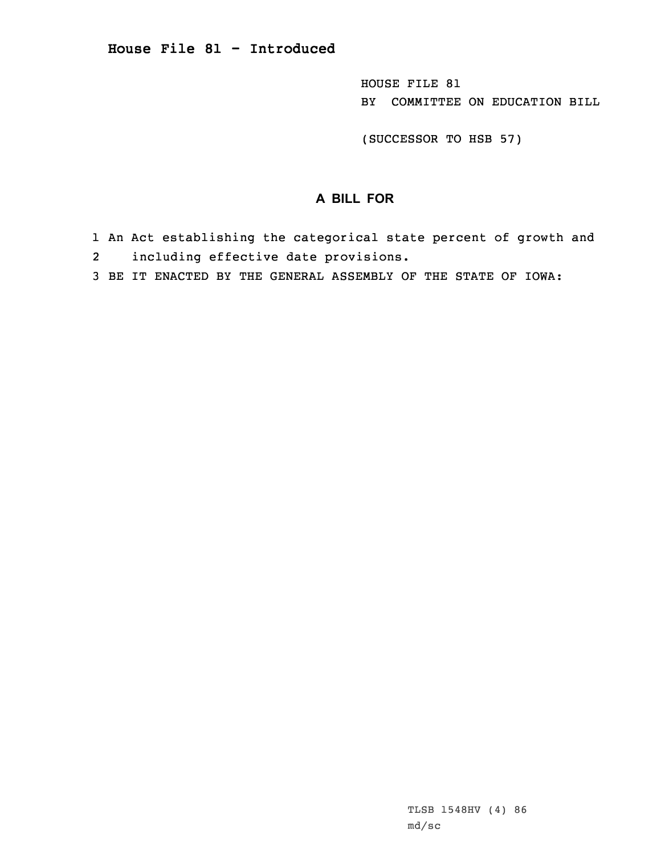HOUSE FILE 81 BY COMMITTEE ON EDUCATION BILL

(SUCCESSOR TO HSB 57)

## **A BILL FOR**

- 1 An Act establishing the categorical state percent of growth and
- 2including effective date provisions.
- 3 BE IT ENACTED BY THE GENERAL ASSEMBLY OF THE STATE OF IOWA: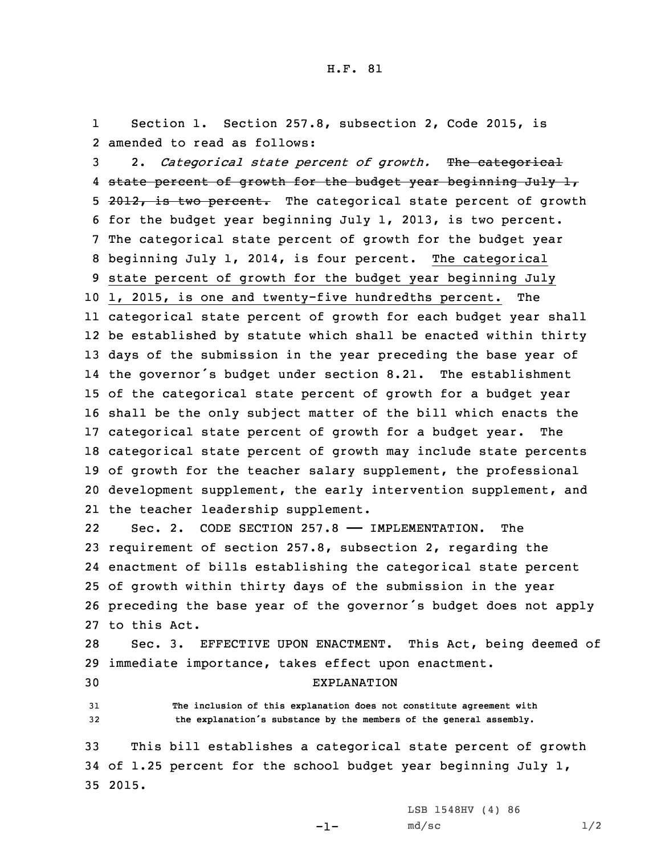1 Section 1. Section 257.8, subsection 2, Code 2015, is 2 amended to read as follows:

 2. *Categorical state percent of growth.* The categorical 4 <del>state percent of growth for the budget year beginning July 1,</del> 5 2012, is two percent. The categorical state percent of growth for the budget year beginning July 1, 2013, is two percent. The categorical state percent of growth for the budget year beginning July 1, 2014, is four percent. The categorical state percent of growth for the budget year beginning July 1, 2015, is one and twenty-five hundredths percent. The categorical state percent of growth for each budget year shall be established by statute which shall be enacted within thirty days of the submission in the year preceding the base year of the governor's budget under section 8.21. The establishment of the categorical state percent of growth for <sup>a</sup> budget year shall be the only subject matter of the bill which enacts the categorical state percent of growth for <sup>a</sup> budget year. The categorical state percent of growth may include state percents of growth for the teacher salary supplement, the professional development supplement, the early intervention supplement, and the teacher leadership supplement.

22Sec. 2. CODE SECTION 257.8 - IMPLEMENTATION. The requirement of section 257.8, subsection 2, regarding the enactment of bills establishing the categorical state percent of growth within thirty days of the submission in the year preceding the base year of the governor's budget does not apply to this Act.

28 Sec. 3. EFFECTIVE UPON ENACTMENT. This Act, being deemed of 29 immediate importance, takes effect upon enactment.

30 EXPLANATION

31 **The inclusion of this explanation does not constitute agreement with** <sup>32</sup> **the explanation's substance by the members of the general assembly.**

33 This bill establishes <sup>a</sup> categorical state percent of growth 34 of 1.25 percent for the school budget year beginning July 1, 35 2015.

-1-

LSB 1548HV (4) 86  $md/sec$  1/2